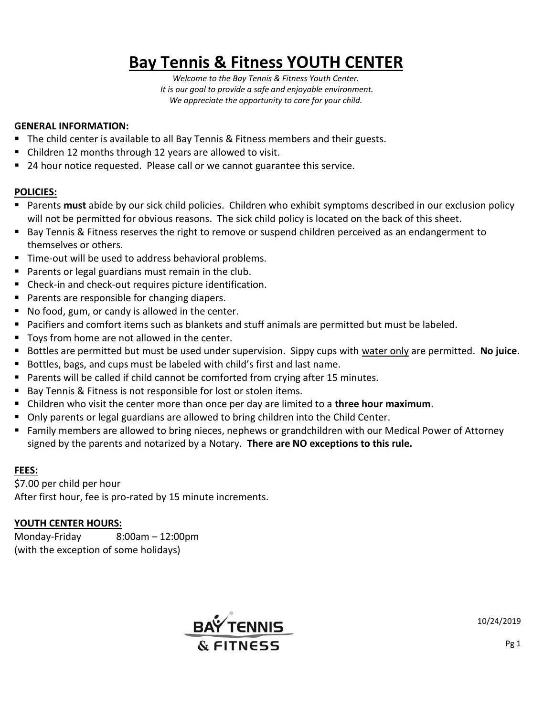# **Bay Tennis & Fitness YOUTH CENTER**

*Welcome to the Bay Tennis & Fitness Youth Center. It is our goal to provide a safe and enjoyable environment. We appreciate the opportunity to care for your child.*

### **GENERAL INFORMATION:**

- The child center is available to all Bay Tennis & Fitness members and their guests.
- Children 12 months through 12 years are allowed to visit.
- 24 hour notice requested. Please call or we cannot guarantee this service.

# **POLICIES:**

- Parents **must** abide by our sick child policies. Children who exhibit symptoms described in our exclusion policy will not be permitted for obvious reasons. The sick child policy is located on the back of this sheet.
- **Bay Tennis & Fitness reserves the right to remove or suspend children perceived as an endangerment to** themselves or others.
- Time-out will be used to address behavioral problems.
- **Parents or legal guardians must remain in the club.**
- **Check-in and check-out requires picture identification.**
- **Parents are responsible for changing diapers.**
- No food, gum, or candy is allowed in the center.
- Pacifiers and comfort items such as blankets and stuff animals are permitted but must be labeled.
- Toys from home are not allowed in the center.
- Bottles are permitted but must be used under supervision. Sippy cups with water only are permitted. **No juice**.
- Bottles, bags, and cups must be labeled with child's first and last name.
- **Parents will be called if child cannot be comforted from crying after 15 minutes.**
- Bay Tennis & Fitness is not responsible for lost or stolen items.
- Children who visit the center more than once per day are limited to a **three hour maximum**.
- **Dianum** Only parents or legal guardians are allowed to bring children into the Child Center.
- Family members are allowed to bring nieces, nephews or grandchildren with our Medical Power of Attorney signed by the parents and notarized by a Notary. **There are NO exceptions to this rule.**

# **FEES:**

\$7.00 per child per hour After first hour, fee is pro-rated by 15 minute increments.

### **YOUTH CENTER HOURS:**

Monday-Friday 8:00am – 12:00pm (with the exception of some holidays)



10/24/2019

Pg 1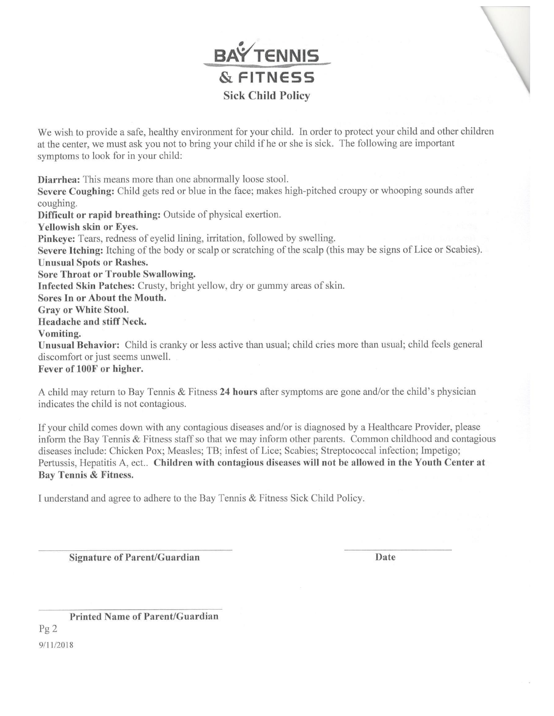

We wish to provide a safe, healthy environment for your child. In order to protect your child and other children at the center, we must ask you not to bring your child if he or she is sick. The following are important symptoms to look for in your child:

Diarrhea: This means more than one abnormally loose stool. Severe Coughing: Child gets red or blue in the face; makes high-pitched croupy or whooping sounds after coughing. Difficult or rapid breathing: Outside of physical exertion. Yellowish skin or Eyes. Pinkeye: Tears, redness of eyelid lining, irritation, followed by swelling. Severe Itching: Itching of the body or scalp or scratching of the scalp (this may be signs of Lice or Scabies). **Unusual Spots or Rashes. Sore Throat or Trouble Swallowing.** Infected Skin Patches: Crusty, bright yellow, dry or gummy areas of skin. Sores In or About the Mouth. **Grav or White Stool.** Headache and stiff Neck. Vomiting. Unusual Behavior: Child is cranky or less active than usual; child cries more than usual; child feels general discomfort or just seems unwell. Fever of 100F or higher.

A child may return to Bay Tennis & Fitness 24 hours after symptoms are gone and/or the child's physician indicates the child is not contagious.

If your child comes down with any contagious diseases and/or is diagnosed by a Healthcare Provider, please inform the Bay Tennis & Fitness staff so that we may inform other parents. Common childhood and contagious diseases include: Chicken Pox; Measles; TB; infest of Lice; Scabies; Streptococcal infection; Impetigo; Pertussis, Hepatitis A, ect.. Children with contagious diseases will not be allowed in the Youth Center at Bay Tennis & Fitness.

I understand and agree to adhere to the Bay Tennis & Fitness Sick Child Policy.

**Signature of Parent/Guardian** 

Date

**Printed Name of Parent/Guardian**  $Pg2$ 9/11/2018